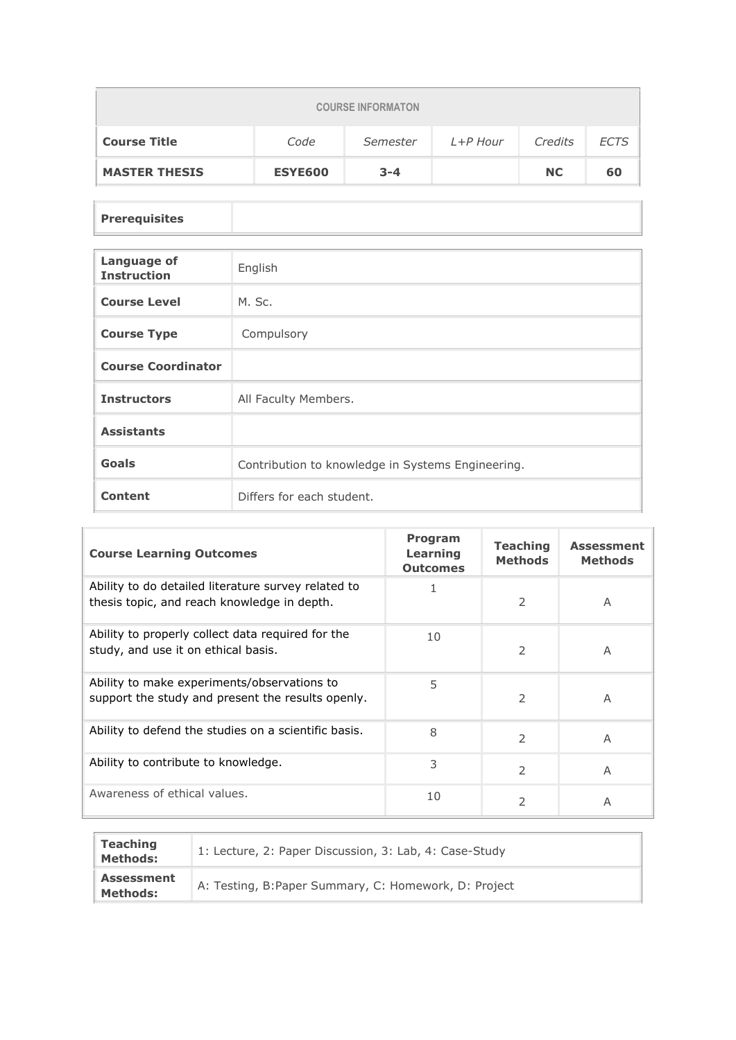| <b>COURSE INFORMATON</b> |                |          |          |           |             |  |
|--------------------------|----------------|----------|----------|-----------|-------------|--|
| <b>Course Title</b>      | Code           | Semester | L+P Hour | Credits   | <b>ECTS</b> |  |
| <b>MASTER THESIS</b>     | <b>ESYE600</b> | $3 - 4$  |          | <b>NC</b> | 60          |  |

## **Prerequisites**

| <b>Language of</b><br><b>Instruction</b> | English                                           |
|------------------------------------------|---------------------------------------------------|
| <b>Course Level</b>                      | M. Sc.                                            |
| <b>Course Type</b>                       | Compulsory                                        |
| <b>Course Coordinator</b>                |                                                   |
| <b>Instructors</b>                       | All Faculty Members.                              |
| <b>Assistants</b>                        |                                                   |
| Goals                                    | Contribution to knowledge in Systems Engineering. |
| <b>Content</b>                           | Differs for each student.                         |

| <b>Course Learning Outcomes</b>                                                                    | Program<br>Learning<br><b>Outcomes</b> | <b>Teaching</b><br><b>Methods</b> | <b>Assessment</b><br><b>Methods</b> |
|----------------------------------------------------------------------------------------------------|----------------------------------------|-----------------------------------|-------------------------------------|
| Ability to do detailed literature survey related to<br>thesis topic, and reach knowledge in depth. |                                        | 2                                 | A                                   |
| Ability to properly collect data required for the<br>study, and use it on ethical basis.           | 10                                     | 2                                 | A                                   |
| Ability to make experiments/observations to<br>support the study and present the results openly.   | 5                                      | 2                                 | A                                   |
| Ability to defend the studies on a scientific basis.                                               | 8                                      | $\mathcal{P}$                     | A                                   |
| Ability to contribute to knowledge.                                                                | 3                                      | $\mathcal{P}$                     | A                                   |
| Awareness of ethical values.                                                                       | 10                                     | $\mathcal{P}$                     | A                                   |

| <b>Teaching</b><br><b>Methods:</b>   | 1: Lecture, 2: Paper Discussion, 3: Lab, 4: Case-Study |
|--------------------------------------|--------------------------------------------------------|
| <b>Assessment</b><br><b>Methods:</b> | A: Testing, B: Paper Summary, C: Homework, D: Project  |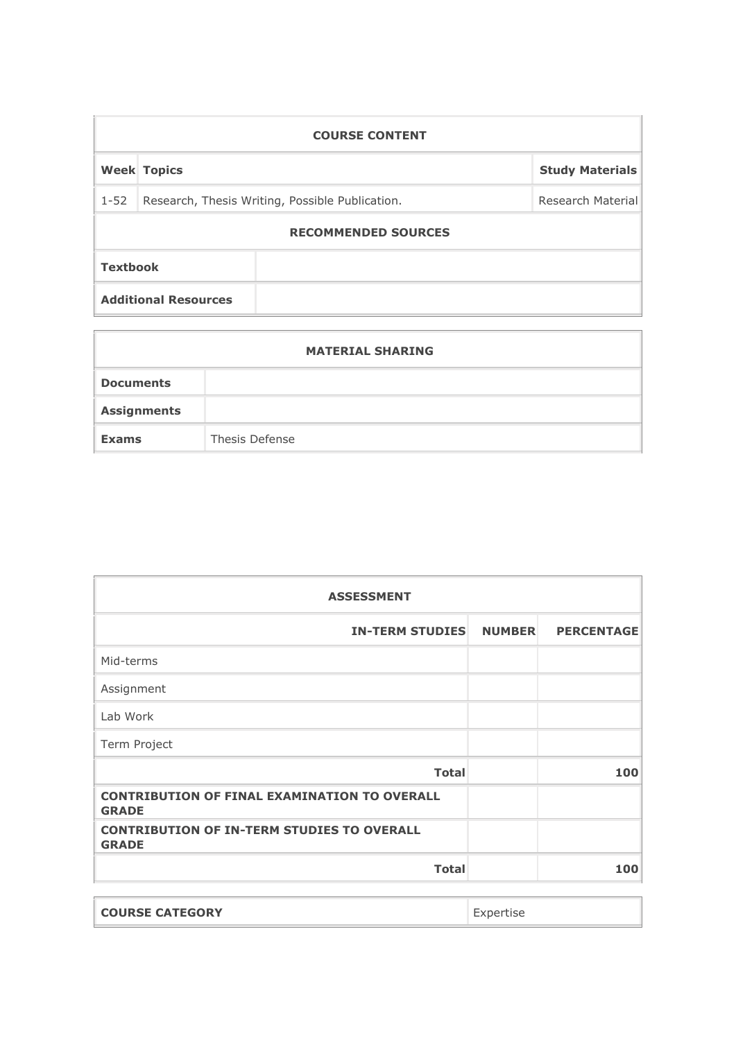| <b>COURSE CONTENT</b>       |  |                                                 |  |  |  |  |
|-----------------------------|--|-------------------------------------------------|--|--|--|--|
| <b>Week Topics</b>          |  | <b>Study Materials</b>                          |  |  |  |  |
|                             |  | Research Material                               |  |  |  |  |
| <b>RECOMMENDED SOURCES</b>  |  |                                                 |  |  |  |  |
| <b>Textbook</b>             |  |                                                 |  |  |  |  |
| <b>Additional Resources</b> |  |                                                 |  |  |  |  |
|                             |  | Research, Thesis Writing, Possible Publication. |  |  |  |  |

| <b>MATERIAL SHARING</b> |                |  |  |  |
|-------------------------|----------------|--|--|--|
| <b>Documents</b>        |                |  |  |  |
| <b>Assignments</b>      |                |  |  |  |
| <b>Exams</b>            | Thesis Defense |  |  |  |

 $\overline{1}$ 

| <b>ASSESSMENT</b>                                                   |               |                   |  |  |
|---------------------------------------------------------------------|---------------|-------------------|--|--|
| <b>IN-TERM STUDIES</b>                                              | <b>NUMBER</b> | <b>PERCENTAGE</b> |  |  |
| Mid-terms                                                           |               |                   |  |  |
| Assignment                                                          |               |                   |  |  |
| Lab Work                                                            |               |                   |  |  |
| Term Project                                                        |               |                   |  |  |
| <b>Total</b>                                                        |               | 100               |  |  |
| <b>CONTRIBUTION OF FINAL EXAMINATION TO OVERALL</b><br><b>GRADE</b> |               |                   |  |  |
| <b>CONTRIBUTION OF IN-TERM STUDIES TO OVERALL</b><br><b>GRADE</b>   |               |                   |  |  |
| <b>Total</b>                                                        |               | 100               |  |  |

**COURSE CATEGORY** Expertise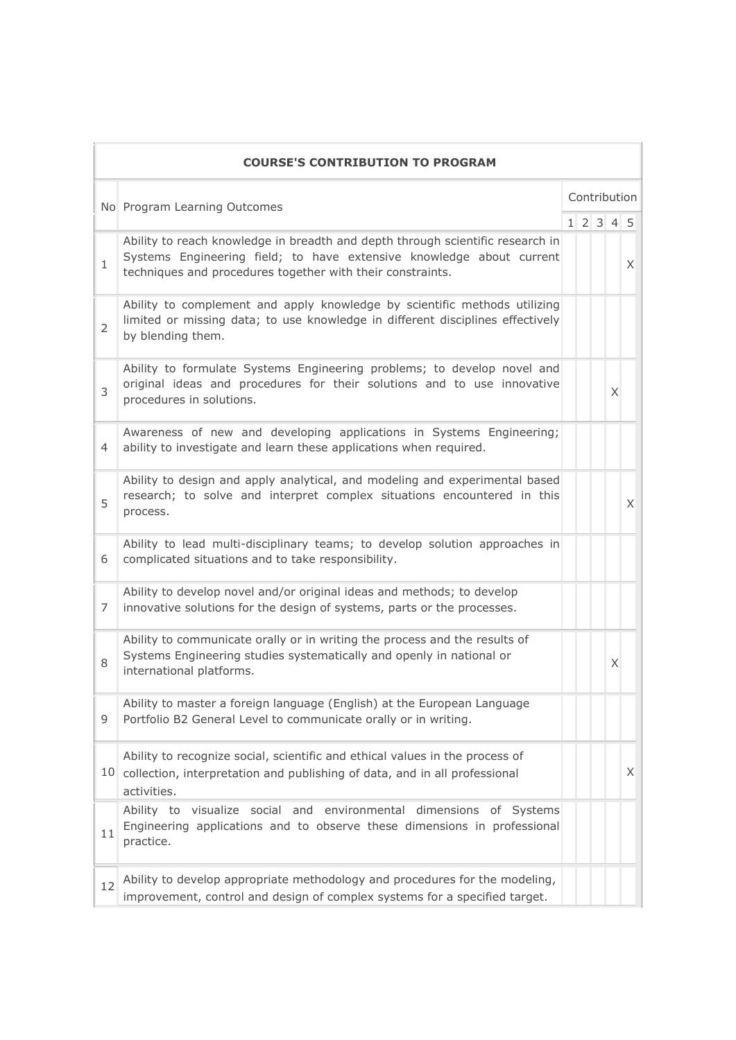|                | <b>COURSE'S CONTRIBUTION TO PROGRAM</b>                                                                                                                                                                              |              |  |  |                     |   |
|----------------|----------------------------------------------------------------------------------------------------------------------------------------------------------------------------------------------------------------------|--------------|--|--|---------------------|---|
|                | No Program Learning Outcomes                                                                                                                                                                                         | Contribution |  |  |                     |   |
|                |                                                                                                                                                                                                                      |              |  |  | $1 \t2 \t3 \t4 \t5$ |   |
| $\mathbf{1}$   | Ability to reach knowledge in breadth and depth through scientific research in<br>Systems Engineering field; to have extensive knowledge about current<br>techniques and procedures together with their constraints. |              |  |  |                     | X |
| $\overline{2}$ | Ability to complement and apply knowledge by scientific methods utilizing<br>limited or missing data; to use knowledge in different disciplines effectively<br>by blending them.                                     |              |  |  |                     |   |
| 3              | Ability to formulate Systems Engineering problems; to develop novel and<br>original ideas and procedures for their solutions and to use innovative<br>procedures in solutions.                                       |              |  |  | X.                  |   |
| 4              | Awareness of new and developing applications in Systems Engineering;<br>ability to investigate and learn these applications when required.                                                                           |              |  |  |                     |   |
| 5              | Ability to design and apply analytical, and modeling and experimental based<br>research; to solve and interpret complex situations encountered in this<br>process.                                                   |              |  |  |                     | X |
| 6              | Ability to lead multi-disciplinary teams; to develop solution approaches in<br>complicated situations and to take responsibility.                                                                                    |              |  |  |                     |   |
| 7              | Ability to develop novel and/or original ideas and methods; to develop<br>innovative solutions for the design of systems, parts or the processes.                                                                    |              |  |  |                     |   |
| 8              | Ability to communicate orally or in writing the process and the results of<br>Systems Engineering studies systematically and openly in national or<br>international platforms.                                       |              |  |  | X                   |   |
| 9              | Ability to master a foreign language (English) at the European Language<br>Portfolio B2 General Level to communicate orally or in writing.                                                                           |              |  |  |                     |   |
|                | Ability to recognize social, scientific and ethical values in the process of<br>10 collection, interpretation and publishing of data, and in all professional<br>activities.                                         |              |  |  |                     | X |
| 11             | Ability to visualize social and environmental dimensions of Systems<br>Engineering applications and to observe these dimensions in professional<br>practice.                                                         |              |  |  |                     |   |
| 12             | Ability to develop appropriate methodology and procedures for the modeling,<br>improvement, control and design of complex systems for a specified target.                                                            |              |  |  |                     |   |